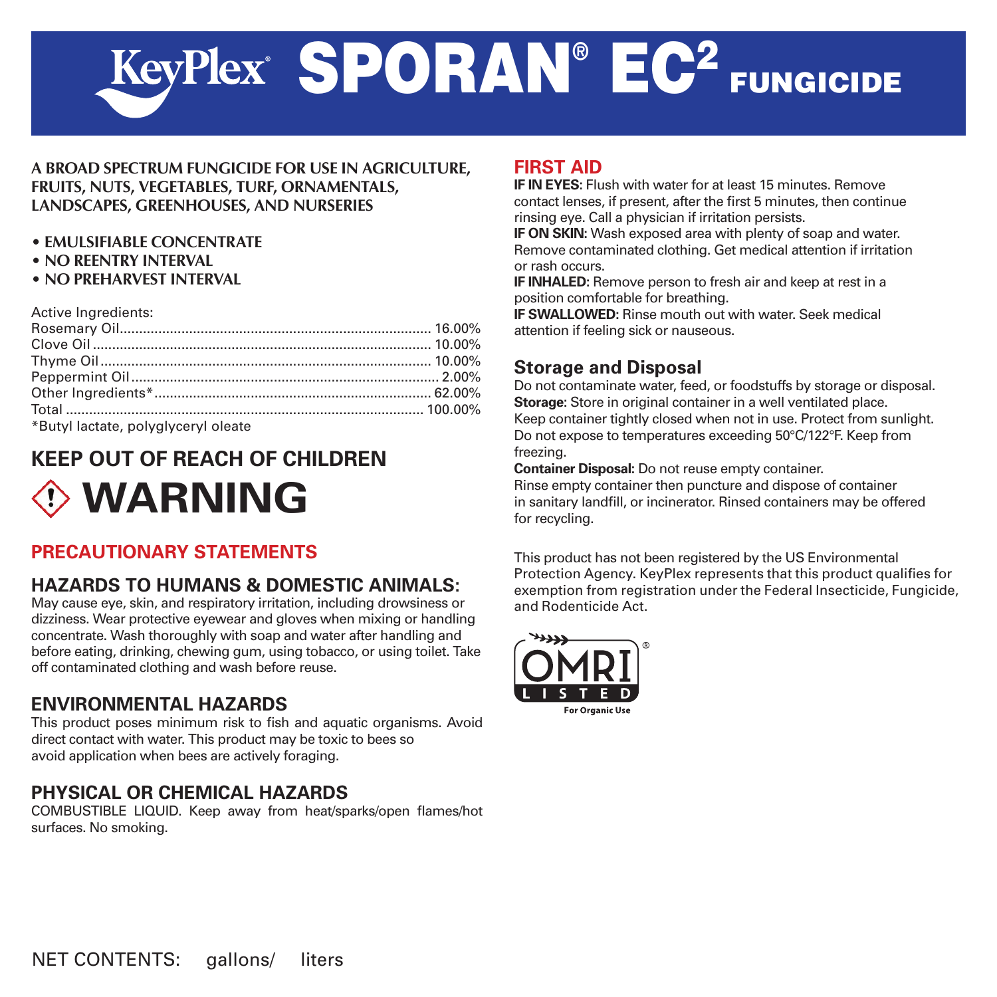# SPORAN<sup>®</sup> EC<sup>2</sup> FUNGICIDE

## **A BROAD SPECTRUM FUNGICIDE FOR USE IN AGRICULTURE, FRUITS, NUTS, VEGETABLES, TURF, ORNAMENTALS, LANDSCAPES, GREENHOUSES, AND NURSERIES**

- **EMULSIFIABLE CONCENTRATE**
- **NO REENTRY INTERVAL**
- **NO PREHARVEST INTERVAL**

Active Ingredients:

| *Dutul lootate, polyglynomyl alasta |  |
|-------------------------------------|--|

Butyl lactate, polyglyceryl oleate

# **KEEP OUT OF REACH OF CHILDREN**



# **PRECAUTIONARY STATEMENTS**

# **HAZARDS TO HUMANS & DOMESTIC ANIMALS:**

May cause eye, skin, and respiratory irritation, including drowsiness or dizziness. Wear protective eyewear and gloves when mixing or handling concentrate. Wash thoroughly with soap and water after handling and before eating, drinking, chewing gum, using tobacco, or using toilet. Take off contaminated clothing and wash before reuse.

## **ENVIRONMENTAL HAZARDS**

This product poses minimum risk to fish and aquatic organisms. Avoid direct contact with water. This product may be toxic to bees so avoid application when bees are actively foraging.

# **Physical or Chemical Hazards**

COMBUSTIBLE LIQUID. Keep away from heat/sparks/open flames/hot surfaces. No smoking.

## **FIRST AID**

**IF IN EYES:** Flush with water for at least 15 minutes. Remove contact lenses, if present, after the first 5 minutes, then continue rinsing eye. Call a physician if irritation persists.

**IF ON SKIN:** Wash exposed area with plenty of soap and water. Remove contaminated clothing. Get medical attention if irritation or rash occurs.

**IF INHALED:** Remove person to fresh air and keep at rest in a position comfortable for breathing.

**IF SWALLOWED:** Rinse mouth out with water. Seek medical attention if feeling sick or nauseous.

# **Storage and Disposal**

Do not contaminate water, feed, or foodstuffs by storage or disposal. **Storage:** Store in original container in a well ventilated place. Keep container tightly closed when not in use. Protect from sunlight. Do not expose to temperatures exceeding 50°C/122°F. Keep from freezing.

**Container Disposal:** Do not reuse empty container.

Rinse empty container then puncture and dispose of container in sanitary landfill, or incinerator. Rinsed containers may be offered for recycling.

This product has not been registered by the US Environmental Protection Agency. KeyPlex represents that this product qualifies for exemption from registration under the Federal Insecticide, Fungicide, and Rodenticide Act.

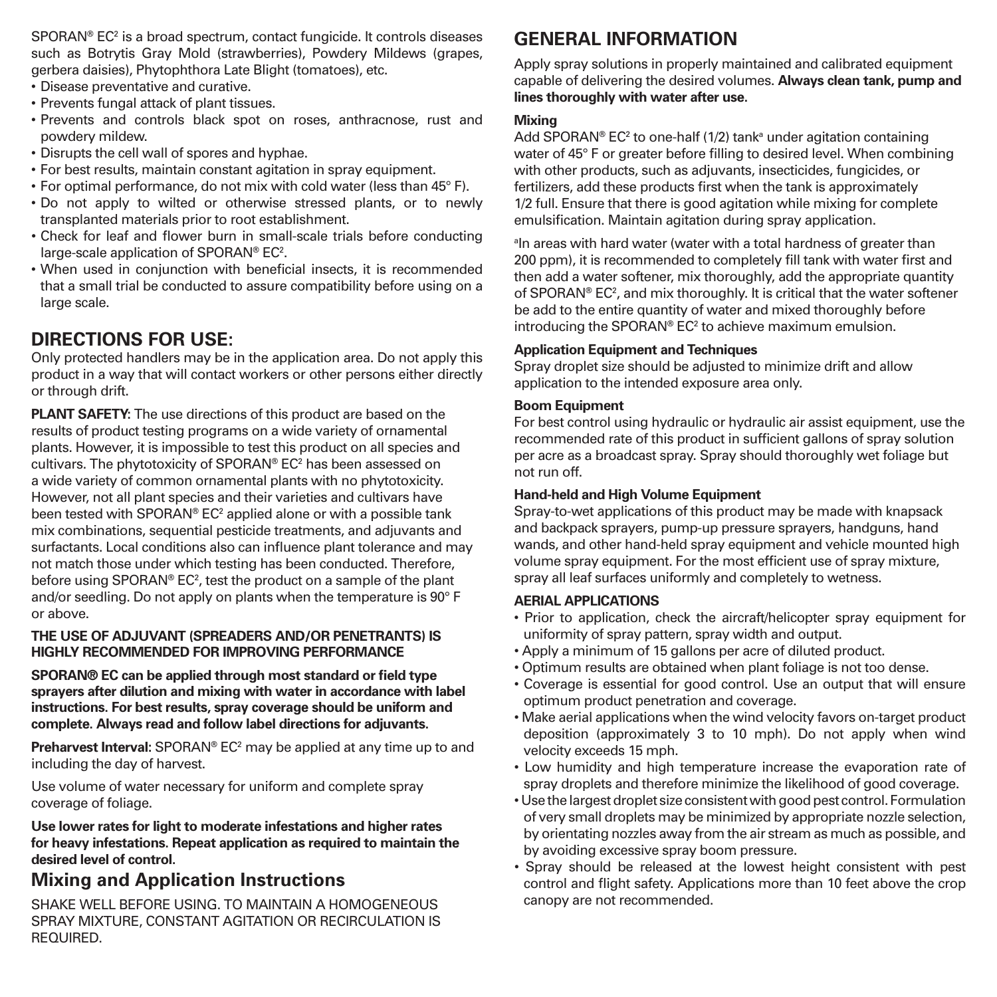SPORAN® EC<sup>2</sup> is a broad spectrum, contact fungicide. It controls diseases such as Botrytis Gray Mold (strawberries), Powdery Mildews (grapes, gerbera daisies), Phytophthora Late Blight (tomatoes), etc.

- • Disease preventative and curative.
- • Prevents fungal attack of plant tissues.
- • Prevents and controls black spot on roses, anthracnose, rust and powdery mildew.
- • Disrupts the cell wall of spores and hyphae.
- • For best results, maintain constant agitation in spray equipment.
- • For optimal performance, do not mix with cold water (less than 45° F).
- • Do not apply to wilted or otherwise stressed plants, or to newly transplanted materials prior to root establishment.
- • Check for leaf and flower burn in small-scale trials before conducting large-scale application of SPORAN® EC<sup>2</sup>.
- • When used in conjunction with beneficial insects, it is recommended that a small trial be conducted to assure compatibility before using on a large scale.

## **DIRECTIONS FOR USE:**

Only protected handlers may be in the application area. Do not apply this product in a way that will contact workers or other persons either directly or through drift.

**PLANT SAFETY:** The use directions of this product are based on the results of product testing programs on a wide variety of ornamental plants. However, it is impossible to test this product on all species and cultivars. The phytotoxicity of SPORAN® EC<sup>2</sup> has been assessed on a wide variety of common ornamental plants with no phytotoxicity. However, not all plant species and their varieties and cultivars have been tested with SPORAN® EC<sup>2</sup> applied alone or with a possible tank mix combinations, sequential pesticide treatments, and adjuvants and surfactants. Local conditions also can influence plant tolerance and may not match those under which testing has been conducted. Therefore, before using SPORAN® EC<sup>2</sup>, test the product on a sample of the plant and/or seedling. Do not apply on plants when the temperature is 90° F or above.

## **THE USE OF ADJUVANT (SPREADERS AND/OR PENETRANTS) IS HIGHLY RECOMMENDED FOR IMPROVING PERFORMANCE**

**SPORAN® EC can be applied through most standard or field type sprayers after dilution and mixing with water in accordance with label instructions. For best results, spray coverage should be uniform and complete. Always read and follow label directions for adjuvants.**

**Preharvest Interval:** SPORAN® EC<sup>2</sup> may be applied at any time up to and including the day of harvest.

Use volume of water necessary for uniform and complete spray coverage of foliage.

**Use lower rates for light to moderate infestations and higher rates for heavy infestations. Repeat application as required to maintain the desired level of control.**

## **Mixing and Application Instructions**

SHAKE WELL BEFORE USING. TO MAINTAIN A HOMOGENEOUS SPRAY MIXTURE, CONSTANT AGITATION OR RECIRCULATION IS REQUIRED.

## **GENERAL INFORMATION**

Apply spray solutions in properly maintained and calibrated equipment capable of delivering the desired volumes. **Always clean tank, pump and lines thoroughly with water after use.**

#### **Mixing**

Add SPORAN® EC<sup>2</sup> to one-half (1/2) tankª under agitation containing water of 45° F or greater before filling to desired level. When combining with other products, such as adjuvants, insecticides, fungicides, or fertilizers, add these products first when the tank is approximately 1/2 full. Ensure that there is good agitation while mixing for complete emulsification. Maintain agitation during spray application.

a In areas with hard water (water with a total hardness of greater than 200 ppm), it is recommended to completely fill tank with water first and then add a water softener, mix thoroughly, add the appropriate quantity of SPORAN® EC<sup>2</sup>, and mix thoroughly. It is critical that the water softener be add to the entire quantity of water and mixed thoroughly before introducing the SPORAN® EC2 to achieve maximum emulsion.

#### **Application Equipment and Techniques**

Spray droplet size should be adjusted to minimize drift and allow application to the intended exposure area only.

## **Boom Equipment**

For best control using hydraulic or hydraulic air assist equipment, use the recommended rate of this product in sufficient gallons of spray solution per acre as a broadcast spray. Spray should thoroughly wet foliage but not run off.

#### **Hand-held and High Volume Equipment**

Spray-to-wet applications of this product may be made with knapsack and backpack sprayers, pump-up pressure sprayers, handguns, hand wands, and other hand-held spray equipment and vehicle mounted high volume spray equipment. For the most efficient use of spray mixture, spray all leaf surfaces uniformly and completely to wetness.

#### **AERIAL APPLICATIONS**

- Prior to application, check the aircraft/helicopter spray equipment for uniformity of spray pattern, spray width and output.
- Apply a minimum of 15 gallons per acre of diluted product.
- Optimum results are obtained when plant foliage is not too dense.
- Coverage is essential for good control. Use an output that will ensure optimum product penetration and coverage.
- Make aerial applications when the wind velocity favors on-target product deposition (approximately 3 to 10 mph). Do not apply when wind velocity exceeds 15 mph.
- Low humidity and high temperature increase the evaporation rate of spray droplets and therefore minimize the likelihood of good coverage.
- Use the largest droplet size consistent with good pest control. Formulation of very small droplets may be minimized by appropriate nozzle selection, by orientating nozzles away from the air stream as much as possible, and by avoiding excessive spray boom pressure.
- Spray should be released at the lowest height consistent with pest control and flight safety. Applications more than 10 feet above the crop canopy are not recommended.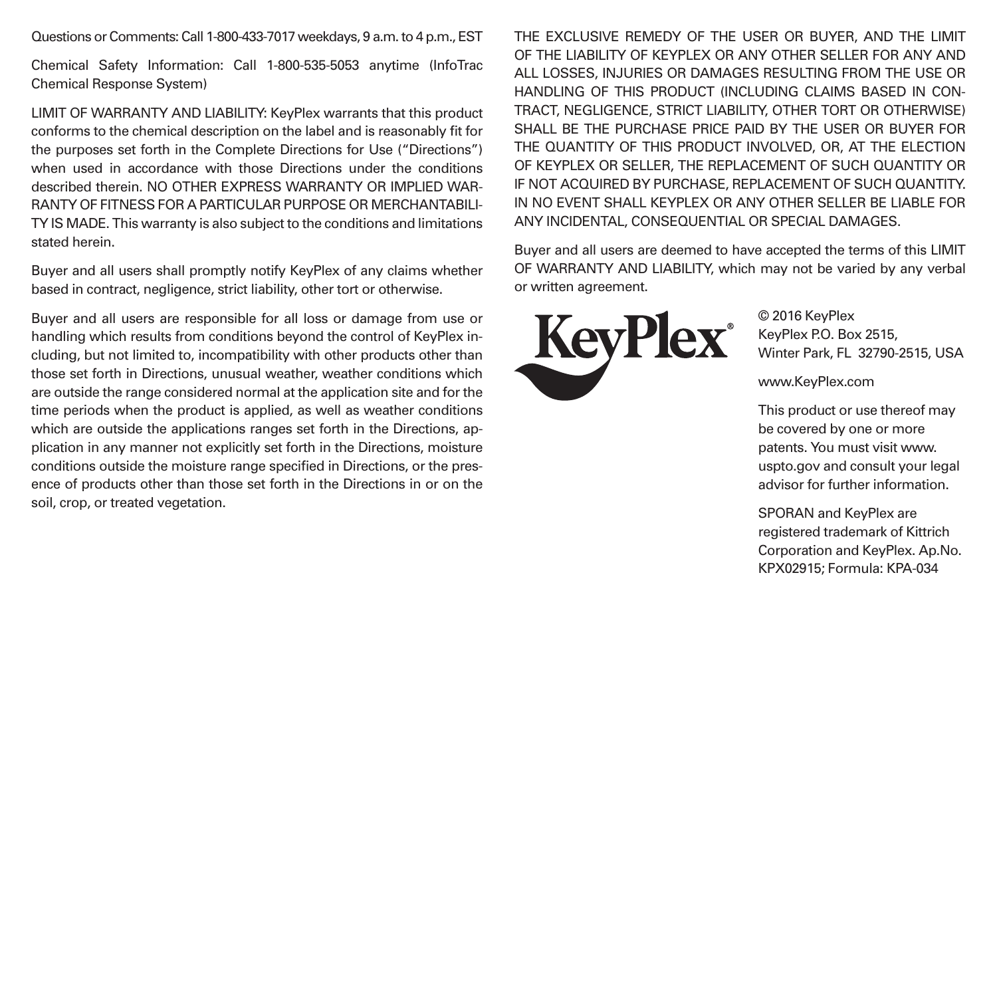Questions or Comments: Call 1-800-433-7017 weekdays, 9 a.m. to 4 p.m., EST

Chemical Safety Information: Call 1-800-535-5053 anytime (InfoTrac Chemical Response System)

LIMIT OF WARRANTY AND LIABILITY: KeyPlex warrants that this product conforms to the chemical description on the label and is reasonably fit for the purposes set forth in the Complete Directions for Use ("Directions") when used in accordance with those Directions under the conditions described therein. NO OTHER EXPRESS WARRANTY OR IMPLIED WAR-RANTY OF FITNESS FOR A PARTICULAR PURPOSE OR MERCHANTABILI-TY IS MADE. This warranty is also subject to the conditions and limitations stated herein.

Buyer and all users shall promptly notify KeyPlex of any claims whether based in contract, negligence, strict liability, other tort or otherwise.

Buyer and all users are responsible for all loss or damage from use or handling which results from conditions beyond the control of KeyPlex including, but not limited to, incompatibility with other products other than those set forth in Directions, unusual weather, weather conditions which are outside the range considered normal at the application site and for the time periods when the product is applied, as well as weather conditions which are outside the applications ranges set forth in the Directions, application in any manner not explicitly set forth in the Directions, moisture conditions outside the moisture range specified in Directions, or the presence of products other than those set forth in the Directions in or on the soil, crop, or treated vegetation.

THE EXCLUSIVE REMEDY OF THE USER OR BUYER, AND THE LIMIT OF THE LIABILITY OF KEYPLEX OR ANY OTHER SELLER FOR ANY AND ALL LOSSES, INJURIES OR DAMAGES RESULTING FROM THE USE OR HANDLING OF THIS PRODUCT (INCLUDING CLAIMS BASED IN CON-TRACT, NEGLIGENCE, STRICT LIABILITY, OTHER TORT OR OTHERWISE) SHALL BE THE PURCHASE PRICE PAID BY THE USER OR BUYER FOR THE QUANTITY OF THIS PRODUCT INVOLVED, OR, AT THE ELECTION OF KEYPLEX OR SELLER, THE REPLACEMENT OF SUCH QUANTITY OR IF NOT ACQUIRED BY PURCHASE, REPLACEMENT OF SUCH QUANTITY. IN NO EVENT SHALL KEYPLEX OR ANY OTHER SELLER BE LIABLE FOR ANY INCIDENTAL, CONSEQUENTIAL OR SPECIAL DAMAGES.

Buyer and all users are deemed to have accepted the terms of this LIMIT OF WARRANTY AND LIABILITY, which may not be varied by any verbal or written agreement.



© 2016 KeyPlex KeyPlex P.O. Box 2515, Winter Park, FL 32790-2515, USA

www.KeyPlex.com

This product or use thereof may be covered by one or more patents. You must visit www. uspto.gov and consult your legal advisor for further information.

SPORAN and KeyPlex are registered trademark of Kittrich Corporation and KeyPlex. Ap.No. KPX02915; Formula: KPA-034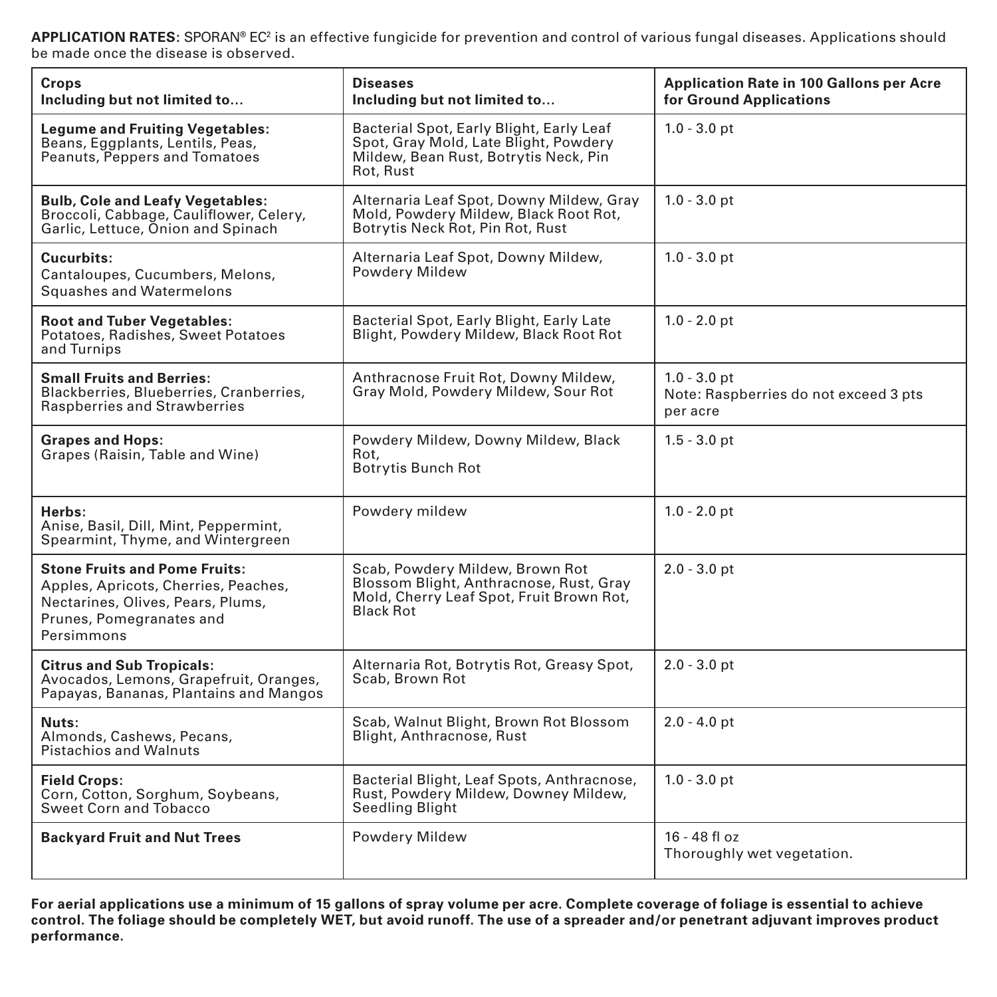**APPLICATION RATES:** SPORAN® EC2 is an effective fungicide for prevention and control of various fungal diseases. Applications should be made once the disease is observed.

| Crops<br>Including but not limited to                                                                                                                       | <b>Diseases</b><br>Including but not limited to                                                                                            | <b>Application Rate in 100 Gallons per Acre</b><br>for Ground Applications |
|-------------------------------------------------------------------------------------------------------------------------------------------------------------|--------------------------------------------------------------------------------------------------------------------------------------------|----------------------------------------------------------------------------|
| <b>Legume and Fruiting Vegetables:</b><br>Beans, Eggplants, Lentils, Peas,<br>Peanuts, Peppers and Tomatoes                                                 | Bacterial Spot, Early Blight, Early Leaf<br>Spot, Gray Mold, Late Blight, Powdery<br>Mildew, Bean Rust, Botrytis Neck, Pin<br>Rot, Rust    | $1.0 - 3.0$ pt                                                             |
| <b>Bulb, Cole and Leafy Vegetables:</b><br>Broccoli, Cabbage, Cauliflower, Celery,<br>Garlic, Lettuce, Onion and Spinach                                    | Alternaria Leaf Spot, Downy Mildew, Gray<br>Mold, Powdery Mildew, Black Root Rot,<br>Botrytis Neck Rot, Pin Rot, Rust                      | $1.0 - 3.0$ pt                                                             |
| Cucurbits:<br>Cantaloupes, Cucumbers, Melons,<br>Squashes and Watermelons                                                                                   | Alternaria Leaf Spot, Downy Mildew,<br>Powdery Mildew                                                                                      | $1.0 - 3.0$ pt                                                             |
| <b>Root and Tuber Vegetables:</b><br>Potatoes, Radishes, Sweet Potatoes<br>and Turnips                                                                      | Bacterial Spot, Early Blight, Early Late<br>Blight, Powdery Mildew, Black Root Rot                                                         | $1.0 - 2.0$ pt                                                             |
| <b>Small Fruits and Berries:</b><br>Blackberries, Blueberries, Cranberries,<br>Raspberries and Strawberries                                                 | Anthracnose Fruit Rot, Downy Mildew,<br>Gray Mold, Powdery Mildew, Sour Rot                                                                | $1.0 - 3.0$ pt<br>Note: Raspberries do not exceed 3 pts<br>per acre        |
| <b>Grapes and Hops:</b><br>Grapes (Raisin, Table and Wine)                                                                                                  | Powdery Mildew, Downy Mildew, Black<br>Rot.<br><b>Botrytis Bunch Rot</b>                                                                   | $1.5 - 3.0$ pt                                                             |
| Herbs:<br>Anise, Basil, Dill, Mint, Peppermint,<br>Spearmint, Thyme, and Wintergreen                                                                        | Powdery mildew                                                                                                                             | $1.0 - 2.0$ pt                                                             |
| <b>Stone Fruits and Pome Fruits:</b><br>Apples, Apricots, Cherries, Peaches,<br>Nectarines, Olives, Pears, Plums,<br>Prunes, Pomegranates and<br>Persimmons | Scab, Powdery Mildew, Brown Rot<br>Blossom Blight, Anthracnose, Rust, Gray<br>Mold, Cherry Leaf Spot, Fruit Brown Rot,<br><b>Black Rot</b> | $2.0 - 3.0$ pt                                                             |
| <b>Citrus and Sub Tropicals:</b><br>Avocados, Lemons, Grapefruit, Oranges,<br>Papayas, Bananas, Plantains and Mangos                                        | Alternaria Rot, Botrytis Rot, Greasy Spot,<br>Scab, Brown Rot                                                                              | $2.0 - 3.0$ pt                                                             |
| Nuts:<br>Almonds, Cashews, Pecans,<br>Pistachios and Walnuts                                                                                                | Scab, Walnut Blight, Brown Rot Blossom<br>Blight, Anthracnose, Rust                                                                        | $2.0 - 4.0$ pt                                                             |
| <b>Field Crops:</b><br>Corn, Cotton, Sorghum, Soybeans,<br>Sweet Corn and Tobacco                                                                           | Bacterial Blight, Leaf Spots, Anthracnose,<br>Rust, Powdery Mildew, Downey Mildew,<br>Seedling Blight                                      | $1.0 - 3.0$ pt                                                             |
| <b>Backyard Fruit and Nut Trees</b>                                                                                                                         | Powdery Mildew                                                                                                                             | $16 - 48$ fl oz<br>Thoroughly wet vegetation.                              |

For aerial applications use a minimum of 15 gallons of spray volume per acre. Complete coverage of foliage is essential to achieve<br>control. The foliage should be completely WET, but avoid runoff. The use of a spreader and/ **performance.**